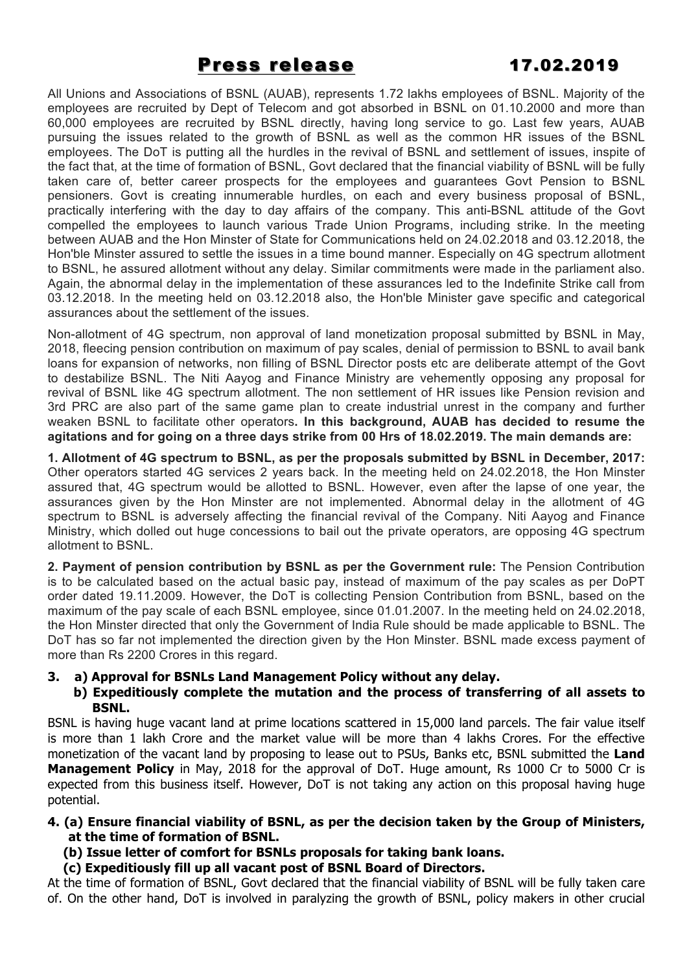# Press release Press release 17.02.2019

All Unions and Associations of BSNL (AUAB), represents 1.72 lakhs employees of BSNL. Majority of the employees are recruited by Dept of Telecom and got absorbed in BSNL on 01.10.2000 and more than 60,000 employees are recruited by BSNL directly, having long service to go. Last few years, AUAB pursuing the issues related to the growth of BSNL as well as the common HR issues of the BSNL employees. The DoT is putting all the hurdles in the revival of BSNL and settlement of issues, inspite of the fact that, at the time of formation of BSNL, Govt declared that the financial viability of BSNL will be fully taken care of, better career prospects for the employees and guarantees Govt Pension to BSNL pensioners. Govt is creating innumerable hurdles, on each and every business proposal of BSNL, practically interfering with the day to day affairs of the company. This anti-BSNL attitude of the Govt compelled the employees to launch various Trade Union Programs, including strike. In the meeting between AUAB and the Hon Minster of State for Communications held on 24.02.2018 and 03.12.2018, the Hon'ble Minster assured to settle the issues in a time bound manner. Especially on 4G spectrum allotment to BSNL, he assured allotment without any delay. Similar commitments were made in the parliament also. Again, the abnormal delay in the implementation of these assurances led to the Indefinite Strike call from 03.12.2018. In the meeting held on 03.12.2018 also, the Hon'ble Minister gave specific and categorical assurances about the settlement of the issues.

Non-allotment of 4G spectrum, non approval of land monetization proposal submitted by BSNL in May, 2018, fleecing pension contribution on maximum of pay scales, denial of permission to BSNL to avail bank loans for expansion of networks, non filling of BSNL Director posts etc are deliberate attempt of the Govt to destabilize BSNL. The Niti Aayog and Finance Ministry are vehemently opposing any proposal for revival of BSNL like 4G spectrum allotment. The non settlement of HR issues like Pension revision and 3rd PRC are also part of the same game plan to create industrial unrest in the company and further weaken BSNL to facilitate other operators**. In this background, AUAB has decided to resume the agitations and for going on a three days strike from 00 Hrs of 18.02.2019. The main demands are:**

**1. Allotment of 4G spectrum to BSNL, as per the proposals submitted by BSNL in December, 2017:** Other operators started 4G services 2 years back. In the meeting held on 24.02.2018, the Hon Minster assured that, 4G spectrum would be allotted to BSNL. However, even after the lapse of one year, the assurances given by the Hon Minster are not implemented. Abnormal delay in the allotment of 4G spectrum to BSNL is adversely affecting the financial revival of the Company. Niti Aayog and Finance Ministry, which dolled out huge concessions to bail out the private operators, are opposing 4G spectrum allotment to BSNL.

**2. Payment of pension contribution by BSNL as per the Government rule:** The Pension Contribution is to be calculated based on the actual basic pay, instead of maximum of the pay scales as per DoPT order dated 19.11.2009. However, the DoT is collecting Pension Contribution from BSNL, based on the maximum of the pay scale of each BSNL employee, since 01.01.2007. In the meeting held on 24.02.2018, the Hon Minster directed that only the Government of India Rule should be made applicable to BSNL. The DoT has so far not implemented the direction given by the Hon Minster. BSNL made excess payment of more than Rs 2200 Crores in this regard.

## **3. a) Approval for BSNLs Land Management Policy without any delay.**

## **b) Expeditiously complete the mutation and the process of transferring of all assets to BSNL.**

BSNL is having huge vacant land at prime locations scattered in 15,000 land parcels. The fair value itself is more than 1 lakh Crore and the market value will be more than 4 lakhs Crores. For the effective monetization of the vacant land by proposing to lease out to PSUs, Banks etc, BSNL submitted the **Land Management Policy** in May, 2018 for the approval of DoT. Huge amount, Rs 1000 Cr to 5000 Cr is expected from this business itself. However, DoT is not taking any action on this proposal having huge potential.

## **4. (a) Ensure financial viability of BSNL, as per the decision taken by the Group of Ministers, at the time of formation of BSNL.**

- **(b) Issue letter of comfort for BSNLs proposals for taking bank loans.**
- **(c) Expeditiously fill up all vacant post of BSNL Board of Directors.**

At the time of formation of BSNL, Govt declared that the financial viability of BSNL will be fully taken care of. On the other hand, DoT is involved in paralyzing the growth of BSNL, policy makers in other crucial